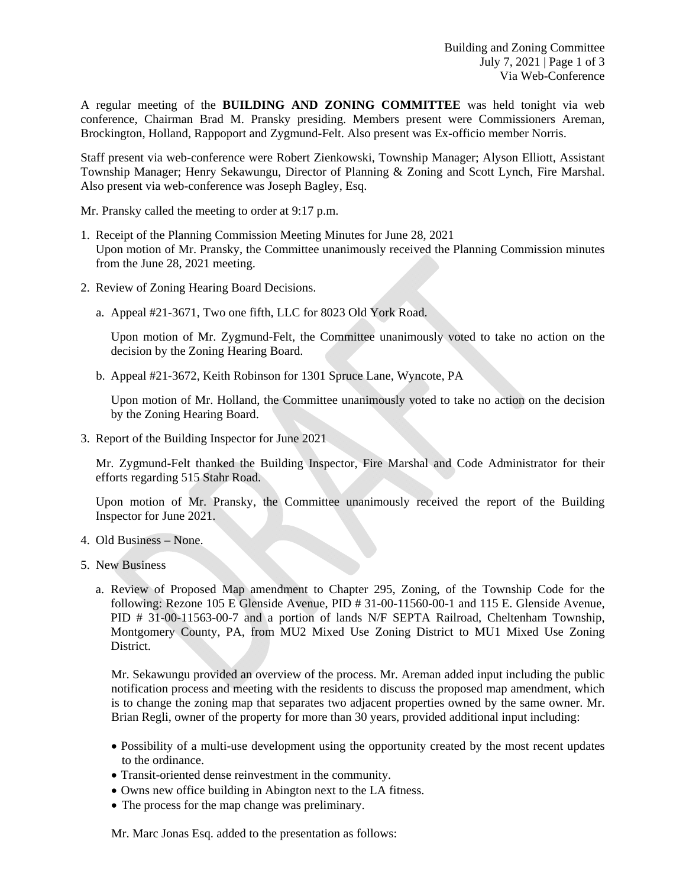A regular meeting of the **BUILDING AND ZONING COMMITTEE** was held tonight via web conference, Chairman Brad M. Pransky presiding. Members present were Commissioners Areman, Brockington, Holland, Rappoport and Zygmund-Felt. Also present was Ex-officio member Norris.

Staff present via web-conference were Robert Zienkowski, Township Manager; Alyson Elliott, Assistant Township Manager; Henry Sekawungu, Director of Planning & Zoning and Scott Lynch, Fire Marshal. Also present via web-conference was Joseph Bagley, Esq.

Mr. Pransky called the meeting to order at 9:17 p.m.

- 1. Receipt of the Planning Commission Meeting Minutes for June 28, 2021 Upon motion of Mr. Pransky, the Committee unanimously received the Planning Commission minutes from the June 28, 2021 meeting.
- 2. Review of Zoning Hearing Board Decisions.
	- a. Appeal #21-3671, Two one fifth, LLC for 8023 Old York Road.

Upon motion of Mr. Zygmund-Felt, the Committee unanimously voted to take no action on the decision by the Zoning Hearing Board.

b. Appeal #21-3672, Keith Robinson for 1301 Spruce Lane, Wyncote, PA

Upon motion of Mr. Holland, the Committee unanimously voted to take no action on the decision by the Zoning Hearing Board.

3. Report of the Building Inspector for June 2021

Mr. Zygmund-Felt thanked the Building Inspector, Fire Marshal and Code Administrator for their efforts regarding 515 Stahr Road.

Upon motion of Mr. Pransky, the Committee unanimously received the report of the Building Inspector for June 2021.

- 4. Old Business None.
- 5. New Business
	- a. Review of Proposed Map amendment to Chapter 295, Zoning, of the Township Code for the following: Rezone 105 E Glenside Avenue, PID # 31-00-11560-00-1 and 115 E. Glenside Avenue, PID # 31-00-11563-00-7 and a portion of lands N/F SEPTA Railroad, Cheltenham Township, Montgomery County, PA, from MU2 Mixed Use Zoning District to MU1 Mixed Use Zoning District.

Mr. Sekawungu provided an overview of the process. Mr. Areman added input including the public notification process and meeting with the residents to discuss the proposed map amendment, which is to change the zoning map that separates two adjacent properties owned by the same owner. Mr. Brian Regli, owner of the property for more than 30 years, provided additional input including:

- Possibility of a multi-use development using the opportunity created by the most recent updates to the ordinance.
- Transit-oriented dense reinvestment in the community.
- Owns new office building in Abington next to the LA fitness.
- The process for the map change was preliminary.

Mr. Marc Jonas Esq. added to the presentation as follows: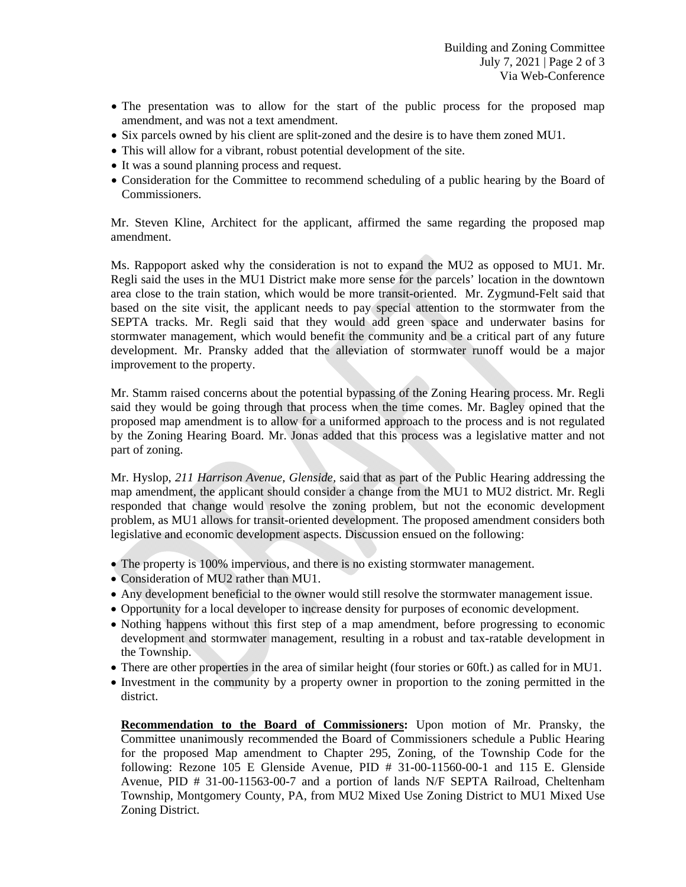- The presentation was to allow for the start of the public process for the proposed map amendment, and was not a text amendment.
- Six parcels owned by his client are split-zoned and the desire is to have them zoned MU1.
- This will allow for a vibrant, robust potential development of the site.
- It was a sound planning process and request.
- Consideration for the Committee to recommend scheduling of a public hearing by the Board of Commissioners.

Mr. Steven Kline, Architect for the applicant, affirmed the same regarding the proposed map amendment.

Ms. Rappoport asked why the consideration is not to expand the MU2 as opposed to MU1. Mr. Regli said the uses in the MU1 District make more sense for the parcels' location in the downtown area close to the train station, which would be more transit-oriented. Mr. Zygmund-Felt said that based on the site visit, the applicant needs to pay special attention to the stormwater from the SEPTA tracks. Mr. Regli said that they would add green space and underwater basins for stormwater management, which would benefit the community and be a critical part of any future development. Mr. Pransky added that the alleviation of stormwater runoff would be a major improvement to the property.

Mr. Stamm raised concerns about the potential bypassing of the Zoning Hearing process. Mr. Regli said they would be going through that process when the time comes. Mr. Bagley opined that the proposed map amendment is to allow for a uniformed approach to the process and is not regulated by the Zoning Hearing Board. Mr. Jonas added that this process was a legislative matter and not part of zoning.

Mr. Hyslop, *211 Harrison Avenue, Glenside,* said that as part of the Public Hearing addressing the map amendment, the applicant should consider a change from the MU1 to MU2 district. Mr. Regli responded that change would resolve the zoning problem, but not the economic development problem, as MU1 allows for transit-oriented development. The proposed amendment considers both legislative and economic development aspects. Discussion ensued on the following:

- The property is 100% impervious, and there is no existing stormwater management.
- Consideration of MU2 rather than MU1.
- Any development beneficial to the owner would still resolve the stormwater management issue.
- Opportunity for a local developer to increase density for purposes of economic development.
- Nothing happens without this first step of a map amendment, before progressing to economic development and stormwater management, resulting in a robust and tax-ratable development in the Township.
- There are other properties in the area of similar height (four stories or 60ft.) as called for in MU1.
- Investment in the community by a property owner in proportion to the zoning permitted in the district.

**Recommendation to the Board of Commissioners:** Upon motion of Mr. Pransky, the Committee unanimously recommended the Board of Commissioners schedule a Public Hearing for the proposed Map amendment to Chapter 295, Zoning, of the Township Code for the following: Rezone 105 E Glenside Avenue, PID # 31-00-11560-00-1 and 115 E. Glenside Avenue, PID # 31-00-11563-00-7 and a portion of lands N/F SEPTA Railroad, Cheltenham Township, Montgomery County, PA, from MU2 Mixed Use Zoning District to MU1 Mixed Use Zoning District.